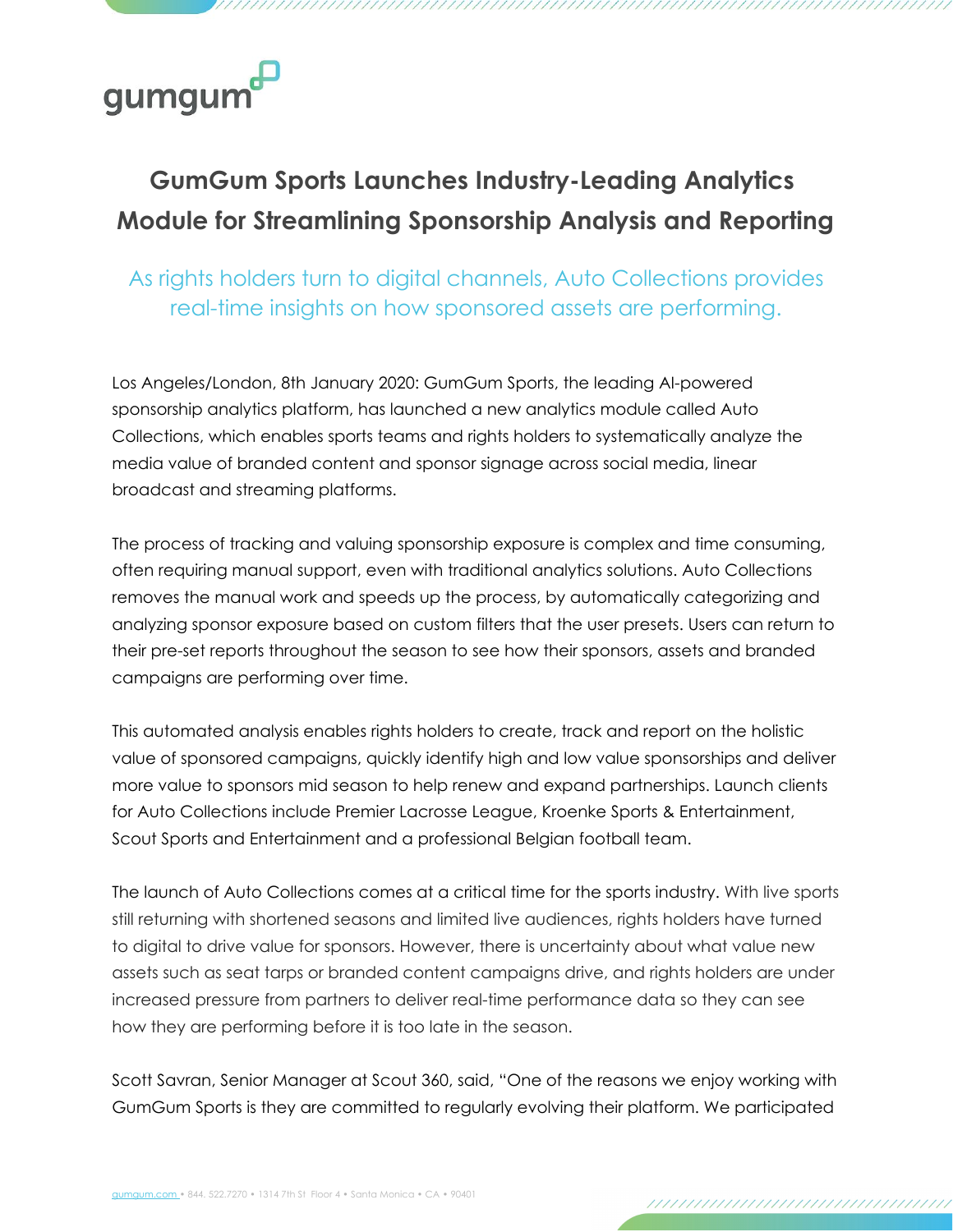## gumgum

## **GumGum Sports Launches Industry-Leading Analytics Module for Streamlining Sponsorship Analysis and Reporting**

As rights holders turn to digital channels, Auto Collections provides real-time insights on how sponsored assets are performing.

Los Angeles/London, 8th January 2020: GumGum Sports, the leading AI-powered sponsorship analytics platform, has launched a new analytics module called Auto Collections, which enables sports teams and rights holders to systematically analyze the media value of branded content and sponsor signage across social media, linear broadcast and streaming platforms.

The process of tracking and valuing sponsorship exposure is complex and time consuming, often requiring manual support, even with traditional analytics solutions. Auto Collections removes the manual work and speeds up the process, by automatically categorizing and analyzing sponsor exposure based on custom filters that the user presets. Users can return to their pre-set reports throughout the season to see how their sponsors, assets and branded campaigns are performing over time.

This automated analysis enables rights holders to create, track and report on the holistic value of sponsored campaigns, quickly identify high and low value sponsorships and deliver more value to sponsors mid season to help renew and expand partnerships. Launch clients for Auto Collections include Premier Lacrosse League, Kroenke Sports & Entertainment, Scout Sports and Entertainment and a professional Belgian football team.

The launch of Auto Collections comes at a critical time for the sports industry. With live sports still returning with shortened seasons and limited live audiences, rights holders have turned to digital to drive value for sponsors. However, there is uncertainty about what value new assets such as seat tarps or branded content campaigns drive, and rights holders are under increased pressure from partners to deliver real-time performance data so they can see how they are performing before it is too late in the season.

Scott Savran, Senior Manager at Scout 360, said, "One of the reasons we enjoy working with GumGum Sports is they are committed to regularly evolving their platform. We participated

,,,,,,,,,,,,,,,,,,,,,,,,,,,,,,,,,,,,,,